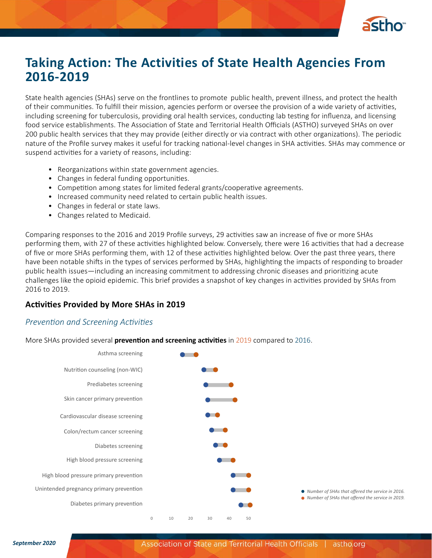

# **Taking Action: The Activities of State Health Agencies From 2016-2019**

State health agencies (SHAs) serve on the frontlines to promote public health, prevent illness, and protect the health of their communities. To fulfill their mission, agencies perform or oversee the provision of a wide variety of activities, including screening for tuberculosis, providing oral health services, conducting lab testing for influenza, and licensing food service establishments. The Association of State and Territorial Health Officials (ASTHO) surveyed SHAs on over 200 public health services that they may provide (either directly or via contract with other organizations). The periodic nature of the Profile survey makes it useful for tracking national-level changes in SHA activities. SHAs may commence or suspend activities for a variety of reasons, including:

- Reorganizations within state government agencies.
- Changes in federal funding opportunities.
- Competition among states for limited federal grants/cooperative agreements.
- Increased community need related to certain public health issues.
- Changes in federal or state laws.
- Changes related to Medicaid.

Comparing responses to the 2016 and 2019 Profile surveys, 29 activities saw an increase of five or more SHAs performing them, with 27 of these activities highlighted below. Conversely, there were 16 activities that had a decrease of five or more SHAs performing them, with 12 of these activities highlighted below. Over the past three years, there have been notable shifts in the types of services performed by SHAs, highlighting the impacts of responding to broader public health issues—including an increasing commitment to addressing chronic diseases and prioritizing acute challenges like the opioid epidemic. This brief provides a snapshot of key changes in activities provided by SHAs from 2016 to 2019.

## **Activities Provided by More SHAs in 2019**

#### *Prevention and Screening Activities*

More SHAs provided several **prevention and screening activities** in 2019 compared to 2016.

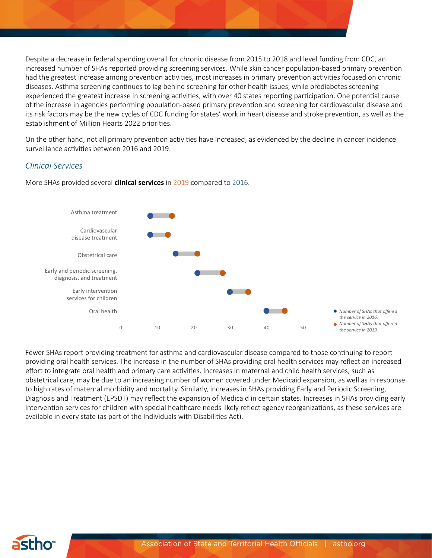Despite a decrease in federal spending overall for chronic disease from 2015 to 2018 and level funding from CDC, an increased number of SHAs reported providing screening services. While skin cancer population-based primary prevention had the greatest increase among prevention activities, most increases in primary prevention activities focused on chronic diseases. Asthma screening continues to lag behind screening for other health issues, while prediabetes screening experienced the greatest increase in screening activities, with over 40 states reporting participation. One potential cause of the increase in agencies performing population-based primary prevention and screening for cardiovascular disease and its risk factors may be the new cycles of CDC funding for states' work in heart disease and stroke prevention, as well as the establishment of Million Hearts 2022 priorities.

On the other hand, not all primary prevention activities have increased, as evidenced by the decline in cancer incidence surveillance activities between 2016 and 2019.

#### *Clinical Services*



More SHAs provided several **clinical services** in 2019 compared to 2016.

Fewer SHAs report providing treatment for asthma and cardiovascular disease compared to those continuing to report providing oral health services. The increase in the number of SHAs providing oral health services may reflect an increased effort to integrate oral health and primary care activities. Increases in maternal and child health services, such as obstetrical care, may be due to an increasing number of women covered under Medicaid expansion, as well as in response to high rates of maternal morbidity and mortality. Similarly, increases in SHAs providing Early and Periodic Screening, Diagnosis and Treatment (EPSDT) may reflect the expansion of Medicaid in certain states. Increases in SHAs providing early intervention services for children with special healthcare needs likely reflect agency reorganizations, as these services are available in every state (as part of the Individuals with Disabilities Act).

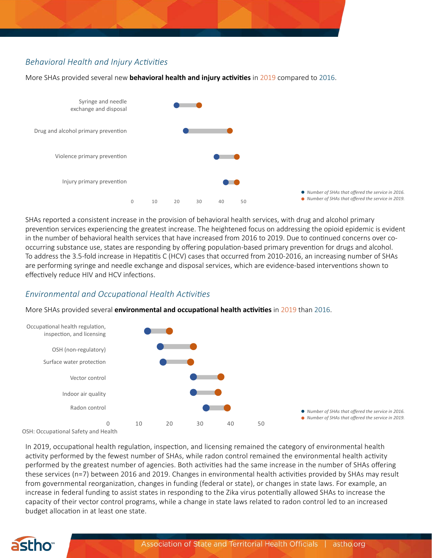# *Behavioral Health and Injury Activities*

Violence primary prevention<br>Injury primary prevention Violence primary prevention Drug and alcohol primary prevention Drug and alcohol primary prevention Syringe and needle exchange and disposal

0 10 20 30 40 50

More SHAs provided several new **behavioral health and injury activities** in 2019 compared to 2016.

SHAs reported a consistent increase in the provision of behavioral health services, with drug and alcohol primary prevention services experiencing the greatest increase. The heightened focus on addressing the opioid epidemic is evident in the number of behavioral health services that have increased from 2016 to 2019. Due to continued concerns over cooccurring substance use, states are responding by offering population-based primary prevention for drugs and alcohol. To address the 3.5-fold increase in Hepatitis C (HCV) cases that occurred from 2010-2016, an increasing number of SHAs are performing syringe and needle exchange and disposal services, which are evidence-based interventions shown to effectively reduce HIV and HCV infections.

*Number of SHAs that offered the service in 2016. Number of SHAs that offered the service in 2019.*

## *Environmental and Occupational Health Activities*

More SHAs provided several **environmental and occupational health activities** in 2019 than 2016.



OSH: Occupational Safety and Health

In 2019, occupational health regulation, inspection, and licensing remained the category of environmental health activity performed by the fewest number of SHAs, while radon control remained the environmental health activity performed by the greatest number of agencies. Both activities had the same increase in the number of SHAs offering these services (n=7) between 2016 and 2019. Changes in environmental health activities provided by SHAs may result from governmental reorganization, changes in funding (federal or state), or changes in state laws. For example, an increase in federal funding to assist states in responding to the Zika virus potentially allowed SHAs to increase the capacity of their vector control programs, while a change in state laws related to radon control led to an increased budget allocation in at least one state.

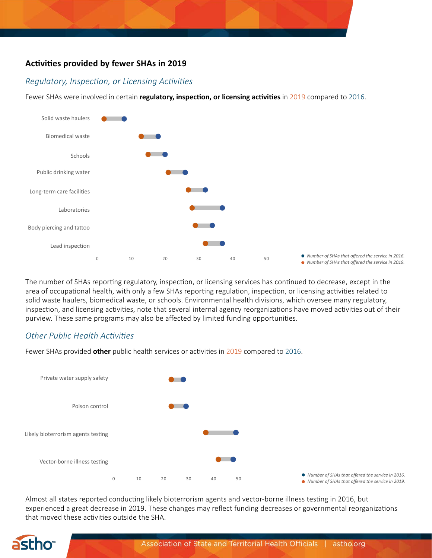## **Activities provided by fewer SHAs in 2019**

## *Regulatory, Inspection, or Licensing Activities*

Fewer SHAs were involved in certain **regulatory, inspection, or licensing activities** in 2019 compared to 2016.



The number of SHAs reporting regulatory, inspection, or licensing services has continued to decrease, except in the area of occupational health, with only a few SHAs reporting regulation, inspection, or licensing activities related to solid waste haulers, biomedical waste, or schools. Environmental health divisions, which oversee many regulatory, inspection, and licensing activities, note that several internal agency reorganizations have moved activities out of their purview. These same programs may also be affected by limited funding opportunities.

## *Other Public Health Activities*

Fewer SHAs provided **other** public health services or activities in 2019 compared to 2016.



Almost all states reported conducting likely bioterrorism agents and vector-borne illness testing in 2016, but experienced a great decrease in 2019. These changes may reflect funding decreases or governmental reorganizations that moved these activities outside the SHA.